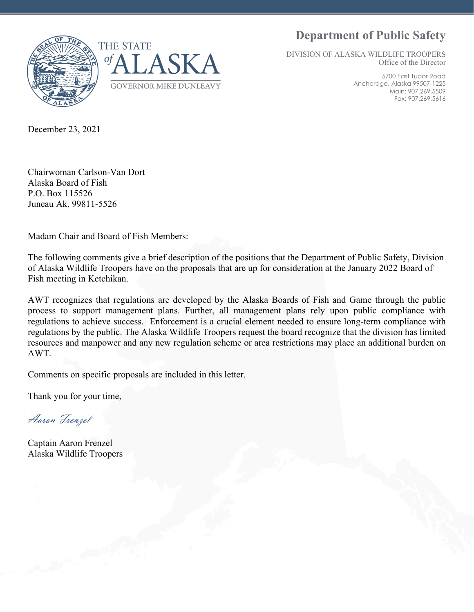**Department of Public Safety**





DIVISION OF ALASKA WILDLIFE TROOPERS Office of the Director

> 5700 East Tudor Road Anchorage, Alaska 99507-1225 Main: 907.269.5509 Fax: 907.269.5616

December 23, 2021

Chairwoman Carlson-Van Dort Alaska Board of Fish P.O. Box 115526 Juneau Ak, 99811-5526

Madam Chair and Board of Fish Members:

The following comments give a brief description of the positions that the Department of Public Safety, Division of Alaska Wildlife Troopers have on the proposals that are up for consideration at the January 2022 Board of Fish meeting in Ketchikan.

AWT recognizes that regulations are developed by the Alaska Boards of Fish and Game through the public process to support management plans. Further, all management plans rely upon public compliance with regulations to achieve success. Enforcement is a crucial element needed to ensure long-term compliance with regulations by the public. The Alaska Wildlife Troopers request the board recognize that the division has limited resources and manpower and any new regulation scheme or area restrictions may place an additional burden on AWT.

Comments on specific proposals are included in this letter.

Thank you for your time,

Aaron Frenzel

Captain Aaron Frenzel Alaska Wildlife Troopers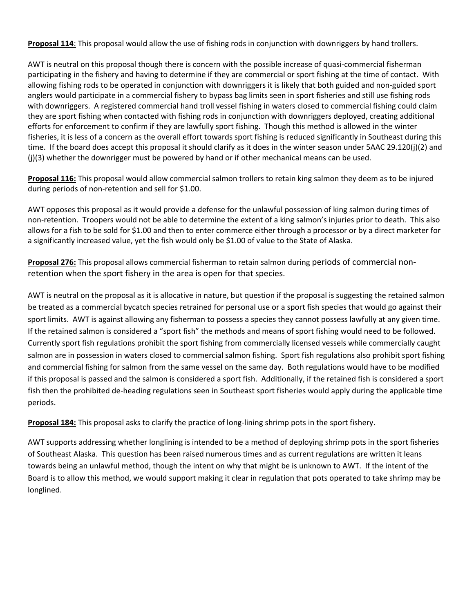**Proposal 114**: This proposal would allow the use of fishing rods in conjunction with downriggers by hand trollers.

AWT is neutral on this proposal though there is concern with the possible increase of quasi-commercial fisherman participating in the fishery and having to determine if they are commercial or sport fishing at the time of contact. With allowing fishing rods to be operated in conjunction with downriggers it is likely that both guided and non-guided sport anglers would participate in a commercial fishery to bypass bag limits seen in sport fisheries and still use fishing rods with downriggers. A registered commercial hand troll vessel fishing in waters closed to commercial fishing could claim they are sport fishing when contacted with fishing rods in conjunction with downriggers deployed, creating additional efforts for enforcement to confirm if they are lawfully sport fishing. Though this method is allowed in the winter fisheries, it is less of a concern as the overall effort towards sport fishing is reduced significantly in Southeast during this time. If the board does accept this proposal it should clarify as it does in the winter season under 5AAC 29.120(j)(2) and (j)(3) whether the downrigger must be powered by hand or if other mechanical means can be used.

**Proposal 116:** This proposal would allow commercial salmon trollers to retain king salmon they deem as to be injured during periods of non-retention and sell for \$1.00.

AWT opposes this proposal as it would provide a defense for the unlawful possession of king salmon during times of non-retention. Troopers would not be able to determine the extent of a king salmon's injuries prior to death. This also allows for a fish to be sold for \$1.00 and then to enter commerce either through a processor or by a direct marketer for a significantly increased value, yet the fish would only be \$1.00 of value to the State of Alaska.

**Proposal 276:** This proposal allows commercial fisherman to retain salmon during periods of commercial nonretention when the sport fishery in the area is open for that species.

AWT is neutral on the proposal as it is allocative in nature, but question if the proposal is suggesting the retained salmon be treated as a commercial bycatch species retrained for personal use or a sport fish species that would go against their sport limits. AWT is against allowing any fisherman to possess a species they cannot possess lawfully at any given time. If the retained salmon is considered a "sport fish" the methods and means of sport fishing would need to be followed. Currently sport fish regulations prohibit the sport fishing from commercially licensed vessels while commercially caught salmon are in possession in waters closed to commercial salmon fishing. Sport fish regulations also prohibit sport fishing and commercial fishing for salmon from the same vessel on the same day. Both regulations would have to be modified if this proposal is passed and the salmon is considered a sport fish. Additionally, if the retained fish is considered a sport fish then the prohibited de-heading regulations seen in Southeast sport fisheries would apply during the applicable time periods.

**Proposal 184:** This proposal asks to clarify the practice of long-lining shrimp pots in the sport fishery.

AWT supports addressing whether longlining is intended to be a method of deploying shrimp pots in the sport fisheries of Southeast Alaska. This question has been raised numerous times and as current regulations are written it leans towards being an unlawful method, though the intent on why that might be is unknown to AWT. If the intent of the Board is to allow this method, we would support making it clear in regulation that pots operated to take shrimp may be longlined.